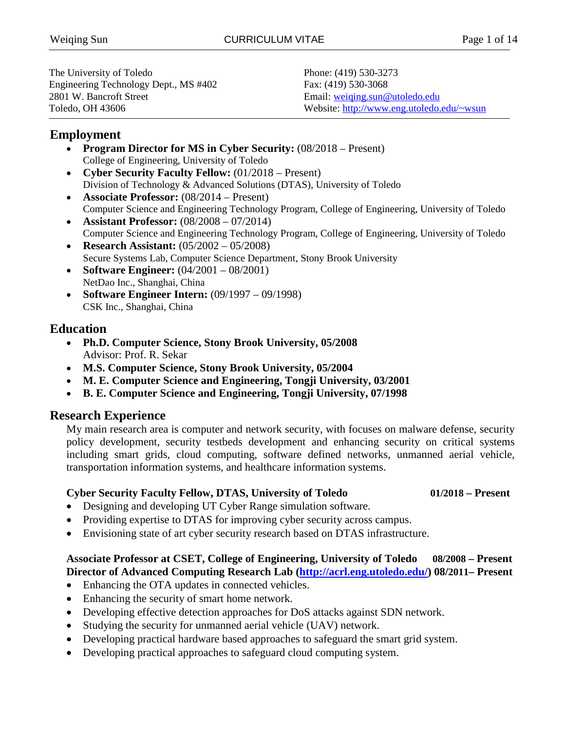The University of Toledo Engineering Technology Dept., MS #402 2801 W. Bancroft Street Toledo, OH 43606

Phone: (419) 530-3273 Fax: (419) 530-3068 Email: [weiqing.sun@utoledo.edu](mailto:weiqing.sun@utoledo.edu) Website: [http://www.eng.utoledo.edu/~wsun](http://www.eng.utoledo.edu/%7Ewsun)

# **Employment**

- **Program Director for MS in Cyber Security:** (08/2018 Present)College of Engineering, University of Toledo
- **Cyber Security Faculty Fellow:** (01/2018 Present)Division of Technology & Advanced Solutions (DTAS), University of Toledo
- **Associate Professor:** (08/2014 Present)Computer Science and Engineering Technology Program, College of Engineering, University of Toledo
- **Assistant Professor:** (08/2008 07/2014)Computer Science and Engineering Technology Program, College of Engineering, University of Toledo
- **Research Assistant:** (05/2002 05/2008)Secure Systems Lab, Computer Science Department, Stony Brook University
- **Software Engineer:** (04/2001 08/2001)NetDao Inc., Shanghai, China
- **Software Engineer Intern:** (09/1997 09/1998)CSK Inc., Shanghai, China

## **Education**

- **Ph.D. Computer Science, Stony Brook University, 05/2008** Advisor: Prof. R. Sekar
- **M.S. Computer Science, Stony Brook University, 05/2004**
- **M. E. Computer Science and Engineering, Tongji University, 03/2001**
- **B. E. Computer Science and Engineering, Tongji University, 07/1998**

## **Research Experience**

My main research area is computer and network security, with focuses on malware defense, security policy development, security testbeds development and enhancing security on critical systems including smart grids, cloud computing, software defined networks, unmanned aerial vehicle, transportation information systems, and healthcare information systems.

### **Cyber Security Faculty Fellow, DTAS, University of Toledo 01/2018 – Present**

- Designing and developing UT Cyber Range simulation software.
- Providing expertise to DTAS for improving cyber security across campus.
- Envisioning state of art cyber security research based on DTAS infrastructure.

### **Associate Professor at CSET, College of Engineering, University of Toledo 08/2008 – Present Director of Advanced Computing Research Lab [\(http://acrl.eng.utoledo.edu/\)](http://acrl.eng.utoledo.edu/) 08/2011– Present**

- Enhancing the OTA updates in connected vehicles.
- Enhancing the security of smart home network.
- Developing effective detection approaches for DoS attacks against SDN network.
- Studying the security for unmanned aerial vehicle (UAV) network.
- Developing practical hardware based approaches to safeguard the smart grid system.
- Developing practical approaches to safeguard cloud computing system.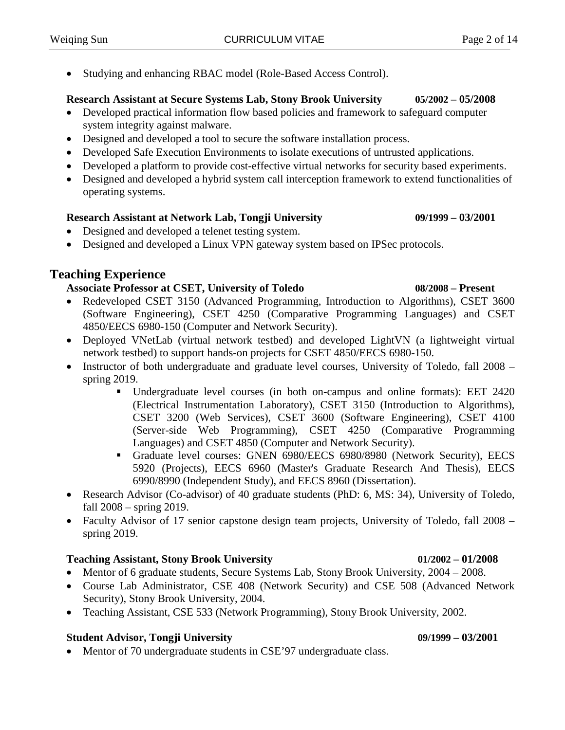• Studying and enhancing RBAC model (Role-Based Access Control).

### **Research Assistant at Secure Systems Lab, Stony Brook University 05/2002 – 05/2008**

- Developed practical information flow based policies and framework to safeguard computer system integrity against malware.
- Designed and developed a tool to secure the software installation process.
- Developed Safe Execution Environments to isolate executions of untrusted applications.
- Developed a platform to provide cost-effective virtual networks for security based experiments.
- Designed and developed a hybrid system call interception framework to extend functionalities of operating systems.

### **Research Assistant at Network Lab, Tongji University 09/1999 – 03/2001**

- Designed and developed a telenet testing system.
- Designed and developed a Linux VPN gateway system based on IPSec protocols.

## **Teaching Experience**

### **Associate Professor at CSET, University of Toledo 08/2008 – Present**

- Redeveloped CSET 3150 (Advanced Programming, Introduction to Algorithms), CSET 3600 (Software Engineering), CSET 4250 (Comparative Programming Languages) and CSET 4850/EECS 6980-150 (Computer and Network Security).
- Deployed VNetLab (virtual network testbed) and developed LightVN (a lightweight virtual network testbed) to support hands-on projects for CSET 4850/EECS 6980-150.
- Instructor of both undergraduate and graduate level courses, University of Toledo, fall 2008 spring 2019.
	- Undergraduate level courses (in both on-campus and online formats): EET 2420 (Electrical Instrumentation Laboratory), CSET 3150 (Introduction to Algorithms), CSET 3200 (Web Services), CSET 3600 (Software Engineering), CSET 4100 (Server-side Web Programming), CSET 4250 (Comparative Programming Languages) and CSET 4850 (Computer and Network Security).
	- Graduate level courses: GNEN 6980/EECS 6980/8980 (Network Security), EECS 5920 (Projects), EECS 6960 (Master's Graduate Research And Thesis), EECS 6990/8990 (Independent Study), and EECS 8960 (Dissertation).
- Research Advisor (Co-advisor) of 40 graduate students (PhD: 6, MS: 34), University of Toledo, fall 2008 – spring 2019.
- Faculty Advisor of 17 senior capstone design team projects, University of Toledo, fall 2008 spring 2019.

### **Teaching Assistant, Stony Brook University 01/2002 – 01/2008**

- Mentor of 6 graduate students, Secure Systems Lab, Stony Brook University, 2004 2008.
- Course Lab Administrator, CSE 408 (Network Security) and CSE 508 (Advanced Network Security), Stony Brook University, 2004.
- Teaching Assistant, CSE 533 (Network Programming), Stony Brook University, 2002.

### **Student Advisor, Tongji University 09/1999 – 03/2001**

• Mentor of 70 undergraduate students in CSE'97 undergraduate class.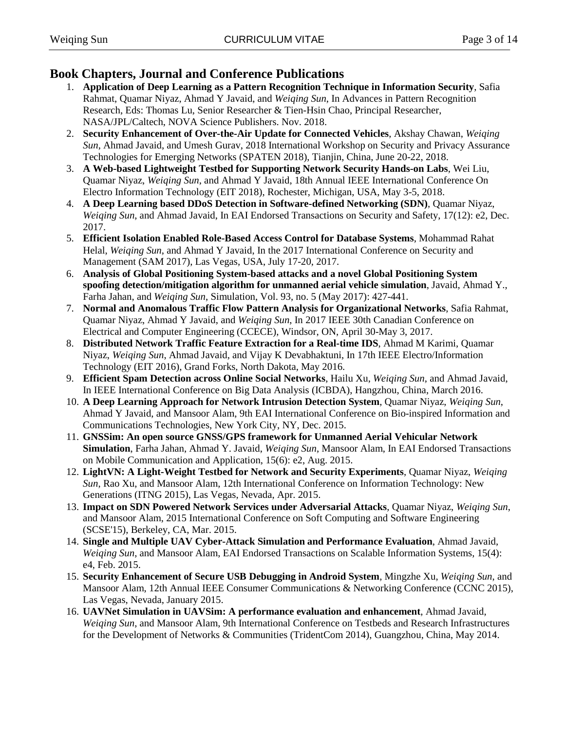## **Book Chapters, Journal and Conference Publications**

- 1. **Application of Deep Learning as a Pattern Recognition Technique in Information Security**, Safia Rahmat, Quamar Niyaz, Ahmad Y Javaid, and *Weiqing Sun*, In Advances in Pattern Recognition Research, Eds: Thomas Lu, Senior Researcher & Tien-Hsin Chao, Principal Researcher, NASA/JPL/Caltech, NOVA Science Publishers. Nov. 2018.
- 2. **Security Enhancement of Over-the-Air Update for Connected Vehicles**, Akshay Chawan, *Weiqing Sun*, Ahmad Javaid, and Umesh Gurav, 2018 International Workshop on Security and Privacy Assurance Technologies for Emerging Networks (SPATEN 2018), Tianjin, China, June 20-22, 2018.
- 3. **A Web-based Lightweight Testbed for Supporting Network Security Hands-on Labs**, Wei Liu, Quamar Niyaz, *Weiqing Sun*, and Ahmad Y Javaid, 18th Annual IEEE International Conference On Electro Information Technology (EIT 2018), Rochester, Michigan, USA, May 3-5, 2018.
- 4. **A Deep Learning based DDoS Detection in Software-defined Networking (SDN)**, Quamar Niyaz, *Weiqing Sun*, and Ahmad Javaid, In EAI Endorsed Transactions on Security and Safety, 17(12): e2, Dec. 2017.
- 5. **Efficient Isolation Enabled Role-Based Access Control for Database Systems**, Mohammad Rahat Helal, *Weiqing Sun*, and Ahmad Y Javaid, In the 2017 International Conference on Security and Management (SAM 2017), Las Vegas, USA, July 17-20, 2017.
- 6. **Analysis of Global Positioning System-based attacks and a novel Global Positioning System spoofing detection/mitigation algorithm for unmanned aerial vehicle simulation**, Javaid, Ahmad Y., Farha Jahan, and *Weiqing Sun*, Simulation, Vol. 93, no. 5 (May 2017): 427-441.
- 7. **Normal and Anomalous Traffic Flow Pattern Analysis for Organizational Networks**, Safia Rahmat, Quamar Niyaz, Ahmad Y Javaid, and *Weiqing Sun*, In 2017 IEEE 30th Canadian Conference on Electrical and Computer Engineering (CCECE), Windsor, ON, April 30-May 3, 2017.
- 8. **Distributed Network Traffic Feature Extraction for a Real-time IDS**, Ahmad M Karimi, Quamar Niyaz, *Weiqing Sun*, Ahmad Javaid, and Vijay K Devabhaktuni, In 17th IEEE Electro/Information Technology (EIT 2016), Grand Forks, North Dakota, May 2016.
- 9. **Efficient Spam Detection across Online Social Networks**, Hailu Xu, *Weiqing Sun*, and Ahmad Javaid, In IEEE International Conference on Big Data Analysis (ICBDA), Hangzhou, China, March 2016.
- 10. **A Deep Learning Approach for Network Intrusion Detection System**, Quamar Niyaz, *Weiqing Sun*, Ahmad Y Javaid, and Mansoor Alam, 9th EAI International Conference on Bio-inspired Information and Communications Technologies, New York City, NY, Dec. 2015.
- 11. **GNSSim: An open source GNSS/GPS framework for Unmanned Aerial Vehicular Network Simulation**, Farha Jahan, Ahmad Y. Javaid, *Weiqing Sun*, Mansoor Alam, In EAI Endorsed Transactions on Mobile Communication and Application, 15(6): e2, Aug. 2015.
- 12. **LightVN: A Light-Weight Testbed for Network and Security Experiments**, Quamar Niyaz, *Weiqing Sun*, Rao Xu, and Mansoor Alam, 12th International Conference on Information Technology: New Generations (ITNG 2015), Las Vegas, Nevada, Apr. 2015.
- 13. **Impact on SDN Powered Network Services under Adversarial Attacks**, Quamar Niyaz, *Weiqing Sun*, and Mansoor Alam, 2015 International Conference on Soft Computing and Software Engineering (SCSE'15), Berkeley, CA, Mar. 2015.
- 14. **Single and Multiple UAV Cyber-Attack Simulation and Performance Evaluation**, Ahmad Javaid, *Weiqing Sun*, and Mansoor Alam, EAI Endorsed Transactions on Scalable Information Systems, 15(4): e4, Feb. 2015.
- 15. **Security Enhancement of Secure USB Debugging in Android System**, Mingzhe Xu, *Weiqing Sun*, and Mansoor Alam, 12th Annual IEEE Consumer Communications & Networking Conference (CCNC 2015), Las Vegas, Nevada, January 2015.
- 16. **UAVNet Simulation in UAVSim: A performance evaluation and enhancement**, Ahmad Javaid, *Weiqing Sun*, and Mansoor Alam, 9th International Conference on Testbeds and Research Infrastructures for the Development of Networks & Communities (TridentCom 2014), Guangzhou, China, May 2014.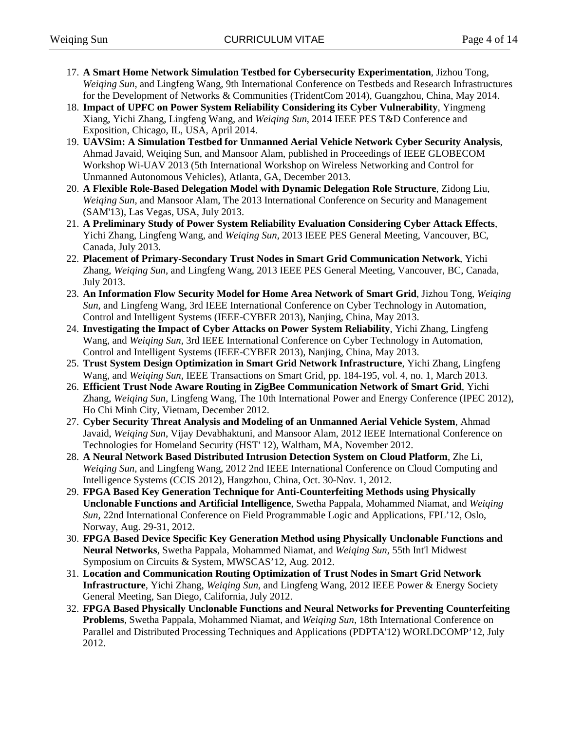- 17. **A Smart Home Network Simulation Testbed for Cybersecurity Experimentation**, Jizhou Tong, *Weiqing Sun*, and Lingfeng Wang, 9th International Conference on Testbeds and Research Infrastructures for the Development of Networks & Communities (TridentCom 2014), Guangzhou, China, May 2014.
- 18. **Impact of UPFC on Power System Reliability Considering its Cyber Vulnerability**, Yingmeng Xiang, Yichi Zhang, Lingfeng Wang, and *Weiqing Sun*, 2014 IEEE PES T&D Conference and Exposition, Chicago, IL, USA, April 2014.
- 19. **UAVSim: A Simulation Testbed for Unmanned Aerial Vehicle Network Cyber Security Analysis**, Ahmad Javaid, Weiqing Sun, and Mansoor Alam, published in Proceedings of IEEE GLOBECOM Workshop Wi-UAV 2013 (5th International Workshop on Wireless Networking and Control for Unmanned Autonomous Vehicles), Atlanta, GA, December 2013.
- 20. **A Flexible Role-Based Delegation Model with Dynamic Delegation Role Structure**, Zidong Liu, *Weiqing Sun*, and Mansoor Alam, The 2013 International Conference on Security and Management (SAM'13), Las Vegas, USA, July 2013.
- 21. **A Preliminary Study of Power System Reliability Evaluation Considering Cyber Attack Effects**, Yichi Zhang, Lingfeng Wang, and *Weiqing Sun*, 2013 IEEE PES General Meeting, Vancouver, BC, Canada, July 2013.
- 22. **Placement of Primary-Secondary Trust Nodes in Smart Grid Communication Network**, Yichi Zhang, *Weiqing Sun*, and Lingfeng Wang, 2013 IEEE PES General Meeting, Vancouver, BC, Canada, July 2013.
- 23. **An Information Flow Security Model for Home Area Network of Smart Grid**, Jizhou Tong, *Weiqing Sun*, and Lingfeng Wang, 3rd IEEE International Conference on Cyber Technology in Automation, Control and Intelligent Systems (IEEE-CYBER 2013), Nanjing, China, May 2013.
- 24. **Investigating the Impact of Cyber Attacks on Power System Reliability**, Yichi Zhang, Lingfeng Wang, and *Weiqing Sun*, 3rd IEEE International Conference on Cyber Technology in Automation, Control and Intelligent Systems (IEEE-CYBER 2013), Nanjing, China, May 2013.
- 25. **Trust System Design Optimization in Smart Grid Network Infrastructure**, Yichi Zhang, Lingfeng Wang, and *Weiqing Sun*, IEEE Transactions on Smart Grid, pp. 184-195, vol. 4, no. 1, March 2013.
- 26. **Efficient Trust Node Aware Routing in ZigBee Communication Network of Smart Grid**, Yichi Zhang, *Weiqing Sun*, Lingfeng Wang, The 10th International Power and Energy Conference (IPEC 2012), Ho Chi Minh City, Vietnam, December 2012.
- 27. **Cyber Security Threat Analysis and Modeling of an Unmanned Aerial Vehicle System**, Ahmad Javaid, *Weiqing Sun*, Vijay Devabhaktuni, and Mansoor Alam, 2012 IEEE International Conference on Technologies for Homeland Security (HST' 12), Waltham, MA, November 2012.
- 28. **A Neural Network Based Distributed Intrusion Detection System on Cloud Platform**, Zhe Li, *Weiqing Sun*, and Lingfeng Wang, 2012 2nd IEEE International Conference on Cloud Computing and Intelligence Systems (CCIS 2012), Hangzhou, China, Oct. 30-Nov. 1, 2012.
- 29. **FPGA Based Key Generation Technique for Anti-Counterfeiting Methods using Physically Unclonable Functions and Artificial Intelligence**, Swetha Pappala, Mohammed Niamat, and *Weiqing Sun*, 22nd International Conference on Field Programmable Logic and Applications, FPL'12, Oslo, Norway, Aug. 29-31, 2012.
- 30. **FPGA Based Device Specific Key Generation Method using Physically Unclonable Functions and Neural Networks**, Swetha Pappala, Mohammed Niamat, and *Weiqing Sun*, 55th Int'l Midwest Symposium on Circuits & System, MWSCAS'12, Aug. 2012.
- 31. **Location and Communication Routing Optimization of Trust Nodes in Smart Grid Network Infrastructure**, Yichi Zhang, *Weiqing Sun*, and Lingfeng Wang, 2012 IEEE Power & Energy Society General Meeting, San Diego, California, July 2012.
- 32. **FPGA Based Physically Unclonable Functions and Neural Networks for Preventing Counterfeiting Problems**, Swetha Pappala, Mohammed Niamat, and *Weiqing Sun*, 18th International Conference on Parallel and Distributed Processing Techniques and Applications (PDPTA'12) WORLDCOMP'12, July 2012.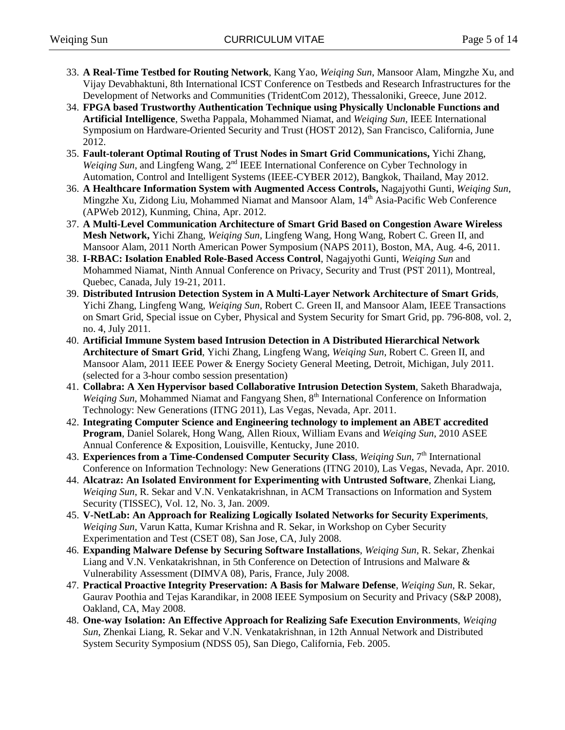- 33. **A Real-Time Testbed for Routing Network**, Kang Yao, *Weiqing Sun*, Mansoor Alam, Mingzhe Xu, and Vijay Devabhaktuni, 8th International ICST Conference on Testbeds and Research Infrastructures for the Development of Networks and Communities (TridentCom 2012), Thessaloniki, Greece, June 2012.
- 34. **FPGA based Trustworthy Authentication Technique using Physically Unclonable Functions and Artificial Intelligence**, Swetha Pappala, Mohammed Niamat, and *Weiqing Sun*, IEEE International Symposium on Hardware-Oriented Security and Trust (HOST 2012), San Francisco, California, June 2012.
- 35. **Fault-tolerant Optimal Routing of Trust Nodes in Smart Grid Communications,** Yichi Zhang, *Weiging Sun*, and Lingfeng Wang, 2<sup>nd</sup> IEEE International Conference on Cyber Technology in Automation, Control and Intelligent Systems (IEEE-CYBER 2012), Bangkok, Thailand, May 2012.
- 36. **A Healthcare Information System with Augmented Access Controls,** Nagajyothi Gunti, *Weiqing Sun*, Mingzhe Xu, Zidong Liu, Mohammed Niamat and Mansoor Alam, 14<sup>th</sup> Asia-Pacific Web Conference (APWeb 2012), Kunming, China, Apr. 2012.
- 37. **A Multi-Level Communication Architecture of Smart Grid Based on Congestion Aware Wireless Mesh Network,** Yichi Zhang, *Weiqing Sun*, Lingfeng Wang, Hong Wang, Robert C. Green II, and Mansoor Alam, 2011 North American Power Symposium (NAPS 2011), Boston, MA, Aug. 4-6, 2011.
- 38. **I-RBAC: Isolation Enabled Role-Based Access Control**, Nagajyothi Gunti, *Weiqing Sun* and Mohammed Niamat, Ninth Annual Conference on Privacy, Security and Trust (PST 2011), Montreal, Quebec, Canada, July 19-21, 2011.
- 39. **Distributed Intrusion Detection System in A Multi-Layer Network Architecture of Smart Grids**, Yichi Zhang, Lingfeng Wang, *Weiqing Sun*, Robert C. Green II, and Mansoor Alam, IEEE Transactions on Smart Grid, Special issue on Cyber, Physical and System Security for Smart Grid, pp. 796-808, vol. 2, no. 4, July 2011.
- 40. **Artificial Immune System based Intrusion Detection in A Distributed Hierarchical Network Architecture of Smart Grid**, Yichi Zhang, Lingfeng Wang, *Weiqing Sun*, Robert C. Green II, and Mansoor Alam, 2011 IEEE Power & Energy Society General Meeting, Detroit, Michigan, July 2011. (selected for a 3-hour combo session presentation)
- 41. **Collabra: A Xen Hypervisor based Collaborative Intrusion Detection System**, Saketh Bharadwaja, *Weiging Sun*, Mohammed Niamat and Fangyang Shen, 8<sup>th</sup> International Conference on Information Technology: New Generations (ITNG 2011), Las Vegas, Nevada, Apr. 2011.
- 42. **Integrating Computer Science and Engineering technology to implement an ABET accredited Program**, Daniel Solarek, Hong Wang, Allen Rioux, William Evans and *Weiqing Sun*, 2010 ASEE Annual Conference & Exposition, Louisville, Kentucky, June 2010.
- 43. **Experiences from a Time-Condensed Computer Security Class**, *Weiqing Sun*, 7th International Conference on Information Technology: New Generations (ITNG 2010), Las Vegas, Nevada, Apr. 2010.
- 44. **Alcatraz: An Isolated Environment for Experimenting with Untrusted Software**, Zhenkai Liang, *Weiqing Sun*, R. Sekar and V.N. Venkatakrishnan, in ACM Transactions on Information and System Security (TISSEC), Vol. 12, No. 3, Jan. 2009.
- 45. **V-NetLab: An Approach for Realizing Logically Isolated Networks for Security Experiments**, *Weiqing Sun*, Varun Katta, Kumar Krishna and R. Sekar, in Workshop on Cyber Security Experimentation and Test (CSET 08), San Jose, CA, July 2008.
- 46. **Expanding Malware Defense by Securing Software Installations**, *Weiqing Sun*, R. Sekar, Zhenkai Liang and V.N. Venkatakrishnan, in 5th Conference on Detection of Intrusions and Malware & Vulnerability Assessment (DIMVA 08), Paris, France, July 2008.
- 47. **Practical Proactive Integrity Preservation: A Basis for Malware Defense**, *Weiqing Sun*, R. Sekar, Gaurav Poothia and Tejas Karandikar, in 2008 IEEE Symposium on Security and Privacy (S&P 2008), Oakland, CA, May 2008.
- 48. **One-way Isolation: An Effective Approach for Realizing Safe Execution Environments**, *Weiqing Sun*, Zhenkai Liang, R. Sekar and V.N. Venkatakrishnan, in 12th Annual Network and Distributed System Security Symposium (NDSS 05), San Diego, California, Feb. 2005.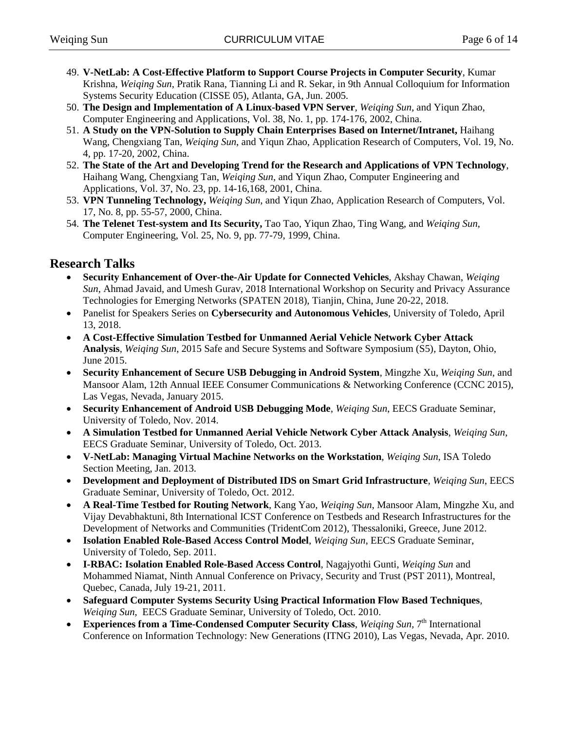- 49. **V-NetLab: A Cost-Effective Platform to Support Course Projects in Computer Security**, Kumar Krishna, *Weiqing Sun*, Pratik Rana, Tianning Li and R. Sekar, in 9th Annual Colloquium for Information Systems Security Education (CISSE 05), Atlanta, GA, Jun. 2005.
- 50. **The Design and Implementation of A Linux-based VPN Server**, *Weiqing Sun*, and Yiqun Zhao, Computer Engineering and Applications, Vol. 38, No. 1, pp. 174-176, 2002, China.
- 51. **A Study on the VPN-Solution to Supply Chain Enterprises Based on Internet/Intranet,** Haihang Wang, Chengxiang Tan, *Weiqing Sun*, and Yiqun Zhao, Application Research of Computers, Vol. 19, No. 4, pp. 17-20, 2002, China.
- 52. **The State of the Art and Developing Trend for the Research and Applications of VPN Technology**, Haihang Wang, Chengxiang Tan, *Weiqing Sun*, and Yiqun Zhao, Computer Engineering and Applications, Vol. 37, No. 23, pp. 14-16,168, 2001, China.
- 53. **VPN Tunneling Technology,** *Weiqing Sun*, and Yiqun Zhao, Application Research of Computers, Vol. 17, No. 8, pp. 55-57, 2000, China.
- 54. **The Telenet Test-system and Its Security,** Tao Tao, Yiqun Zhao, Ting Wang, and *Weiqing Sun*, Computer Engineering, Vol. 25, No. 9, pp. 77-79, 1999, China.

## **Research Talks**

- **Security Enhancement of Over-the-Air Update for Connected Vehicles**, Akshay Chawan, *Weiqing Sun*, Ahmad Javaid, and Umesh Gurav, 2018 International Workshop on Security and Privacy Assurance Technologies for Emerging Networks (SPATEN 2018), Tianjin, China, June 20-22, 2018.
- Panelist for Speakers Series on **Cybersecurity and Autonomous Vehicles**, University of Toledo, April 13, 2018.
- **A Cost-Effective Simulation Testbed for Unmanned Aerial Vehicle Network Cyber Attack Analysis**, *Weiqing Sun*, 2015 Safe and Secure Systems and Software Symposium (S5), Dayton, Ohio, June 2015.
- **Security Enhancement of Secure USB Debugging in Android System**, Mingzhe Xu, *Weiqing Sun*, and Mansoor Alam, 12th Annual IEEE Consumer Communications & Networking Conference (CCNC 2015), Las Vegas, Nevada, January 2015.
- **Security Enhancement of Android USB Debugging Mode**, *Weiqing Sun*, EECS Graduate Seminar, University of Toledo, Nov. 2014.
- **A Simulation Testbed for Unmanned Aerial Vehicle Network Cyber Attack Analysis**, *Weiqing Sun*, EECS Graduate Seminar, University of Toledo, Oct. 2013.
- **V-NetLab: Managing Virtual Machine Networks on the Workstation**, *Weiqing Sun*, ISA Toledo Section Meeting, Jan. 2013.
- **Development and Deployment of Distributed IDS on Smart Grid Infrastructure**, *Weiqing Sun*, EECS Graduate Seminar, University of Toledo, Oct. 2012.
- **A Real-Time Testbed for Routing Network**, Kang Yao, *Weiqing Sun*, Mansoor Alam, Mingzhe Xu, and Vijay Devabhaktuni, 8th International ICST Conference on Testbeds and Research Infrastructures for the Development of Networks and Communities (TridentCom 2012), Thessaloniki, Greece, June 2012.
- **Isolation Enabled Role-Based Access Control Model**, *Weiqing Sun*, EECS Graduate Seminar, University of Toledo, Sep. 2011.
- **I-RBAC: Isolation Enabled Role-Based Access Control**, Nagajyothi Gunti, *Weiqing Sun* and Mohammed Niamat, Ninth Annual Conference on Privacy, Security and Trust (PST 2011), Montreal, Quebec, Canada, July 19-21, 2011.
- **Safeguard Computer Systems Security Using Practical Information Flow Based Techniques**, *Weiqing Sun*, EECS Graduate Seminar, University of Toledo, Oct. 2010.
- **Experiences from a Time-Condensed Computer Security Class,** *Weiging Sun***, 7<sup>th</sup> International** Conference on Information Technology: New Generations (ITNG 2010), Las Vegas, Nevada, Apr. 2010.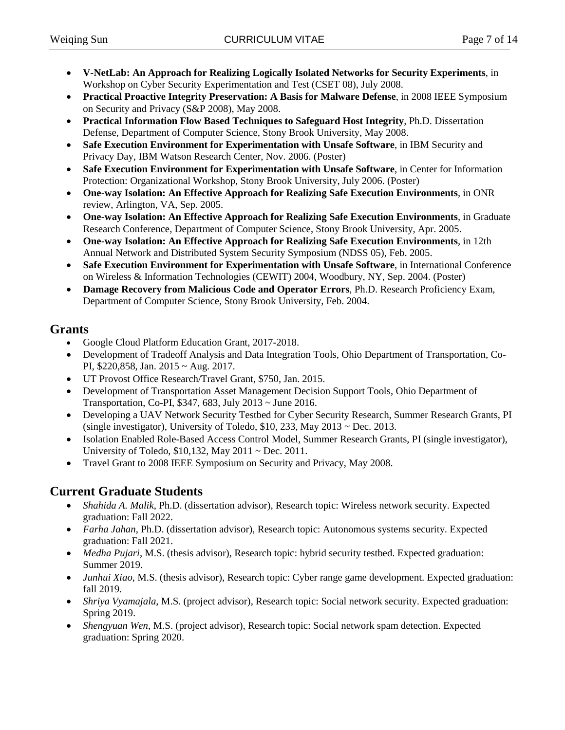- **V-NetLab: An Approach for Realizing Logically Isolated Networks for Security Experiments**, in Workshop on Cyber Security Experimentation and Test (CSET 08), July 2008.
- **Practical Proactive Integrity Preservation: A Basis for Malware Defense**, in 2008 IEEE Symposium on Security and Privacy (S&P 2008), May 2008.
- **Practical Information Flow Based Techniques to Safeguard Host Integrity**, Ph.D. Dissertation Defense, Department of Computer Science, Stony Brook University, May 2008.
- **Safe Execution Environment for Experimentation with Unsafe Software**, in IBM Security and Privacy Day, IBM Watson Research Center, Nov. 2006. (Poster)
- **Safe Execution Environment for Experimentation with Unsafe Software**, in Center for Information Protection: Organizational Workshop, Stony Brook University, July 2006. (Poster)
- **One-way Isolation: An Effective Approach for Realizing Safe Execution Environments**, in ONR review, Arlington, VA, Sep. 2005.
- **One-way Isolation: An Effective Approach for Realizing Safe Execution Environments**, in Graduate Research Conference, Department of Computer Science, Stony Brook University, Apr. 2005.
- **One-way Isolation: An Effective Approach for Realizing Safe Execution Environments**, in 12th Annual Network and Distributed System Security Symposium (NDSS 05), Feb. 2005.
- **Safe Execution Environment for Experimentation with Unsafe Software**, in International Conference on Wireless & Information Technologies (CEWIT) 2004, Woodbury, NY, Sep. 2004. (Poster)
- **Damage Recovery from Malicious Code and Operator Errors**, Ph.D. Research Proficiency Exam, Department of Computer Science, Stony Brook University, Feb. 2004.

## **Grants**

- Google Cloud Platform Education Grant, 2017-2018.
- Development of Tradeoff Analysis and Data Integration Tools, Ohio Department of Transportation, Co-PI, \$220,858, Jan. 2015 ~ Aug. 2017.
- UT Provost Office Research/Travel Grant, \$750, Jan. 2015.
- Development of Transportation Asset Management Decision Support Tools, Ohio Department of Transportation, Co-PI, \$347, 683, July 2013 ~ June 2016.
- Developing a UAV Network Security Testbed for Cyber Security Research, Summer Research Grants, PI (single investigator), University of Toledo,  $$10, 233$ , May  $2013 \sim$  Dec. 2013.
- Isolation Enabled Role-Based Access Control Model, Summer Research Grants, PI (single investigator), University of Toledo, \$10,132, May 2011 ~ Dec. 2011.
- Travel Grant to 2008 IEEE Symposium on Security and Privacy, May 2008.

# **Current Graduate Students**

- *Shahida A. Malik*, Ph.D. (dissertation advisor), Research topic: Wireless network security. Expected graduation: Fall 2022.
- *Farha Jahan*, Ph.D. (dissertation advisor), Research topic: Autonomous systems security. Expected graduation: Fall 2021.
- *Medha Pujari*, M.S. (thesis advisor), Research topic: hybrid security testbed. Expected graduation: Summer 2019.
- *Junhui Xiao*, M.S. (thesis advisor), Research topic: Cyber range game development. Expected graduation: fall 2019.
- *Shriya Vyamajala*, M.S. (project advisor), Research topic: Social network security. Expected graduation: Spring 2019.
- *Shengyuan Wen*, M.S. (project advisor), Research topic: Social network spam detection. Expected graduation: Spring 2020.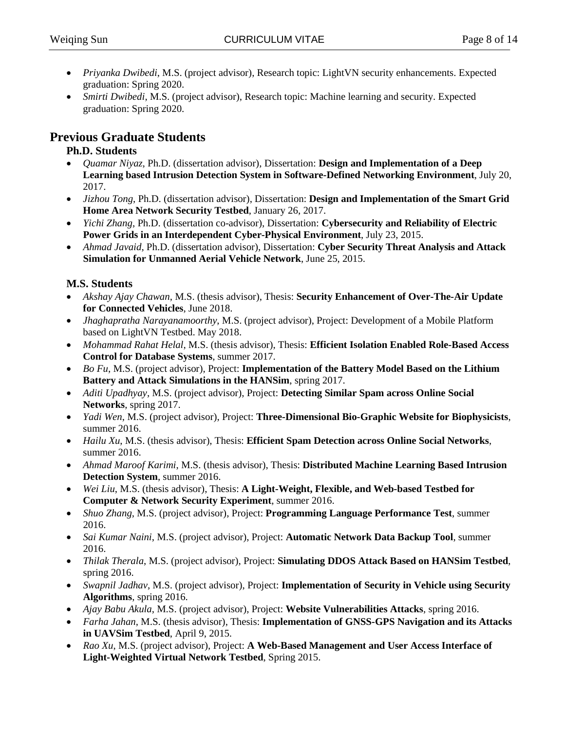- *Priyanka Dwibedi*, M.S. (project advisor), Research topic: LightVN security enhancements. Expected graduation: Spring 2020.
- *Smirti Dwibedi*, M.S. (project advisor), Research topic: Machine learning and security. Expected graduation: Spring 2020.

# **Previous Graduate Students**

## **Ph.D. Students**

- *Quamar Niyaz*, Ph.D. (dissertation advisor), Dissertation: **Design and Implementation of a Deep Learning based Intrusion Detection System in Software-Defined Networking Environment**, July 20, 2017.
- *Jizhou Tong*, Ph.D. (dissertation advisor), Dissertation: **Design and Implementation of the Smart Grid Home Area Network Security Testbed**, January 26, 2017.
- *Yichi Zhang*, Ph.D. (dissertation co-advisor), Dissertation: **Cybersecurity and Reliability of Electric Power Grids in an Interdependent Cyber-Physical Environment**, July 23, 2015.
- *Ahmad Javaid*, Ph.D. (dissertation advisor), Dissertation: **Cyber Security Threat Analysis and Attack Simulation for Unmanned Aerial Vehicle Network**, June 25, 2015.

## **M.S. Students**

- *Akshay Ajay Chawan*, M.S. (thesis advisor), Thesis: **Security Enhancement of Over-The-Air Update for Connected Vehicles**, June 2018.
- *Jhaghapratha Narayanamoorthy*, M.S. (project advisor), Project: Development of a Mobile Platform based on LightVN Testbed. May 2018.
- *Mohammad Rahat Helal*, M.S. (thesis advisor), Thesis: **Efficient Isolation Enabled Role-Based Access Control for Database Systems**, summer 2017.
- *Bo Fu*, M.S. (project advisor), Project: **Implementation of the Battery Model Based on the Lithium Battery and Attack Simulations in the HANSim**, spring 2017.
- *Aditi Upadhyay*, M.S. (project advisor), Project: **Detecting Similar Spam across Online Social Networks**, spring 2017.
- *Yadi Wen*, M.S. (project advisor), Project: **Three-Dimensional Bio-Graphic Website for Biophysicists**, summer 2016.
- *Hailu Xu*, M.S. (thesis advisor), Thesis: **Efficient Spam Detection across Online Social Networks**, summer 2016.
- *Ahmad Maroof Karimi*, M.S. (thesis advisor), Thesis: **Distributed Machine Learning Based Intrusion Detection System**, summer 2016.
- *Wei Liu*, M.S. (thesis advisor), Thesis: **A Light-Weight, Flexible, and Web-based Testbed for Computer & Network Security Experiment**, summer 2016.
- *Shuo Zhang*, M.S. (project advisor), Project: **Programming Language Performance Test**, summer 2016.
- *Sai Kumar Naini*, M.S. (project advisor), Project: **Automatic Network Data Backup Tool**, summer 2016.
- *Thilak Therala*, M.S. (project advisor), Project: **Simulating DDOS Attack Based on HANSim Testbed**, spring 2016.
- *Swapnil Jadhav*, M.S. (project advisor), Project: **Implementation of Security in Vehicle using Security Algorithms**, spring 2016.
- *Ajay Babu Akula*, M.S. (project advisor), Project: **Website Vulnerabilities Attacks**, spring 2016.
- *Farha Jahan*, M.S. (thesis advisor), Thesis: **Implementation of GNSS-GPS Navigation and its Attacks in UAVSim Testbed**, April 9, 2015.
- *Rao Xu*, M.S. (project advisor), Project: **A Web-Based Management and User Access Interface of Light-Weighted Virtual Network Testbed**, Spring 2015.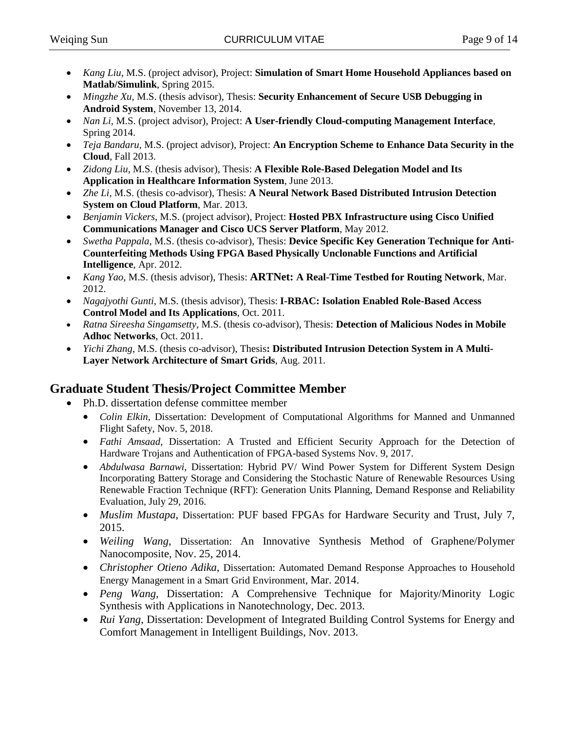- *Kang Liu*, M.S. (project advisor), Project: **Simulation of Smart Home Household Appliances based on Matlab/Simulink**, Spring 2015.
- *Mingzhe Xu*, M.S. (thesis advisor), Thesis: **Security Enhancement of Secure USB Debugging in Android System**, November 13, 2014.
- *Nan Li*, M.S. (project advisor), Project: **A User-friendly Cloud-computing Management Interface**, Spring 2014.
- *Teja Bandaru*, M.S. (project advisor), Project: **An Encryption Scheme to Enhance Data Security in the Cloud**, Fall 2013.
- *Zidong Liu*, M.S. (thesis advisor), Thesis: **A Flexible Role-Based Delegation Model and Its Application in Healthcare Information System**, June 2013.
- *Zhe Li*, M.S. (thesis co-advisor), Thesis: **A Neural Network Based Distributed Intrusion Detection System on Cloud Platform**, Mar. 2013.
- *Benjamin Vickers*, M.S. (project advisor), Project: **Hosted PBX Infrastructure using Cisco Unified Communications Manager and Cisco UCS Server Platform**, May 2012.
- *Swetha Pappala*, M.S. (thesis co-advisor), Thesis: **Device Specific Key Generation Technique for Anti-Counterfeiting Methods Using FPGA Based Physically Unclonable Functions and Artificial Intelligence**, Apr. 2012.
- *Kang Yao*, M.S. (thesis advisor), Thesis: **ARTNet: A Real-Time Testbed for Routing Network**, Mar. 2012.
- *Nagajyothi Gunti*, M.S. (thesis advisor), Thesis: **I-RBAC: Isolation Enabled Role-Based Access Control Model and Its Applications**, Oct. 2011.
- *Ratna Sireesha Singamsetty*, M.S. (thesis co-advisor), Thesis: **Detection of Malicious Nodes in Mobile Adhoc Networks**, Oct. 2011.
- *Yichi Zhang*, M.S. (thesis co-advisor), Thesis**: Distributed Intrusion Detection System in A Multi-Layer Network Architecture of Smart Grids**, Aug. 2011.

# **Graduate Student Thesis/Project Committee Member**

- Ph.D. dissertation defense committee member
	- *Colin Elkin*, Dissertation: Development of Computational Algorithms for Manned and Unmanned Flight Safety, Nov. 5, 2018.
	- *Fathi Amsaad*, Dissertation: A Trusted and Efficient Security Approach for the Detection of Hardware Trojans and Authentication of FPGA-based Systems Nov. 9, 2017.
	- *Abdulwasa Barnawi*, Dissertation: Hybrid PV/ Wind Power System for Different System Design Incorporating Battery Storage and Considering the Stochastic Nature of Renewable Resources Using Renewable Fraction Technique (RFT): Generation Units Planning, Demand Response and Reliability Evaluation, July 29, 2016.
	- *Muslim Mustapa*, Dissertation: PUF based FPGAs for Hardware Security and Trust, July 7, 2015.
	- *Weiling Wang*, Dissertation: An Innovative Synthesis Method of Graphene/Polymer Nanocomposite, Nov. 25, 2014.
	- *Christopher Otieno Adika*, Dissertation: Automated Demand Response Approaches to Household Energy Management in a Smart Grid Environment, Mar. 2014.
	- *Peng Wang*, Dissertation: A Comprehensive Technique for Majority/Minority Logic Synthesis with Applications in Nanotechnology, Dec. 2013.
	- *Rui Yang*, Dissertation: Development of Integrated Building Control Systems for Energy and Comfort Management in Intelligent Buildings, Nov. 2013.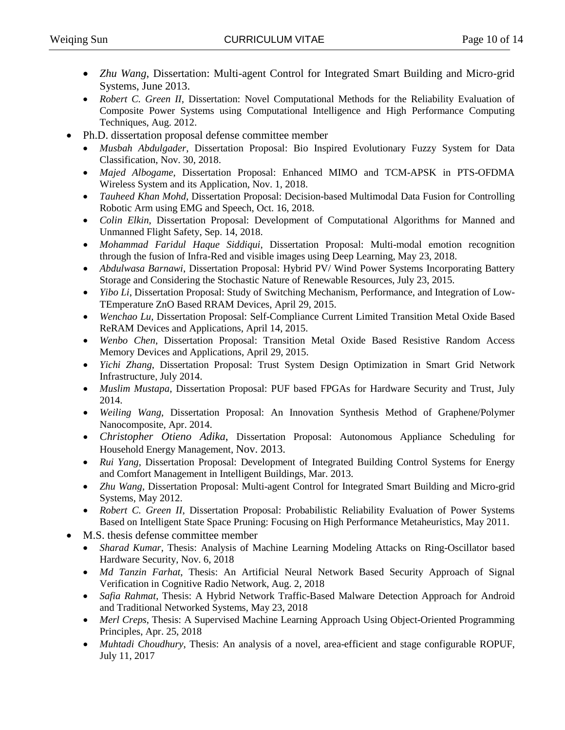- *Zhu Wang*, Dissertation: Multi-agent Control for Integrated Smart Building and Micro-grid Systems, June 2013.
- *Robert C. Green II*, Dissertation: Novel Computational Methods for the Reliability Evaluation of Composite Power Systems using Computational Intelligence and High Performance Computing Techniques, Aug. 2012.
- Ph.D. dissertation proposal defense committee member
	- *Musbah Abdulgader*, Dissertation Proposal: Bio Inspired Evolutionary Fuzzy System for Data Classification, Nov. 30, 2018.
	- *Majed Albogame*, Dissertation Proposal: Enhanced MIMO and TCM-APSK in PTS-OFDMA Wireless System and its Application, Nov. 1, 2018.
	- *Tauheed Khan Mohd*, Dissertation Proposal: Decision-based Multimodal Data Fusion for Controlling Robotic Arm using EMG and Speech, Oct. 16, 2018.
	- *Colin Elkin*, Dissertation Proposal: Development of Computational Algorithms for Manned and Unmanned Flight Safety, Sep. 14, 2018.
	- *Mohammad Faridul Haque Siddiqui*, Dissertation Proposal: Multi-modal emotion recognition through the fusion of Infra-Red and visible images using Deep Learning, May 23, 2018.
	- *Abdulwasa Barnawi*, Dissertation Proposal: Hybrid PV/ Wind Power Systems Incorporating Battery Storage and Considering the Stochastic Nature of Renewable Resources, July 23, 2015.
	- *Yibo Li*, Dissertation Proposal: Study of Switching Mechanism, Performance, and Integration of Low-TEmperature ZnO Based RRAM Devices, April 29, 2015.
	- *Wenchao Lu*, Dissertation Proposal: Self-Compliance Current Limited Transition Metal Oxide Based ReRAM Devices and Applications, April 14, 2015.
	- *Wenbo Chen*, Dissertation Proposal: Transition Metal Oxide Based Resistive Random Access Memory Devices and Applications, April 29, 2015.
	- *Yichi Zhang*, Dissertation Proposal: Trust System Design Optimization in Smart Grid Network Infrastructure, July 2014.
	- *Muslim Mustapa*, Dissertation Proposal: PUF based FPGAs for Hardware Security and Trust, July 2014.
	- *Weiling Wang*, Dissertation Proposal: An Innovation Synthesis Method of Graphene/Polymer Nanocomposite, Apr. 2014.
	- *Christopher Otieno Adika*, Dissertation Proposal: Autonomous Appliance Scheduling for Household Energy Management, Nov. 2013.
	- *Rui Yang*, Dissertation Proposal: Development of Integrated Building Control Systems for Energy and Comfort Management in Intelligent Buildings, Mar. 2013.
	- *Zhu Wang*, Dissertation Proposal: Multi-agent Control for Integrated Smart Building and Micro-grid Systems, May 2012.
	- *Robert C. Green II*, Dissertation Proposal: Probabilistic Reliability Evaluation of Power Systems Based on Intelligent State Space Pruning: Focusing on High Performance Metaheuristics, May 2011.
- M.S. thesis defense committee member
	- *Sharad Kumar*, Thesis: Analysis of Machine Learning Modeling Attacks on Ring-Oscillator based Hardware Security, Nov. 6, 2018
	- *Md Tanzin Farhat*, Thesis: An Artificial Neural Network Based Security Approach of Signal Verification in Cognitive Radio Network, Aug. 2, 2018
	- *Safia Rahmat*, Thesis: A Hybrid Network Traffic-Based Malware Detection Approach for Android and Traditional Networked Systems, May 23, 2018
	- *Merl Creps*, Thesis: A Supervised Machine Learning Approach Using Object-Oriented Programming Principles, Apr. 25, 2018
	- *Muhtadi Choudhury*, Thesis: An analysis of a novel, area-efficient and stage configurable ROPUF, July 11, 2017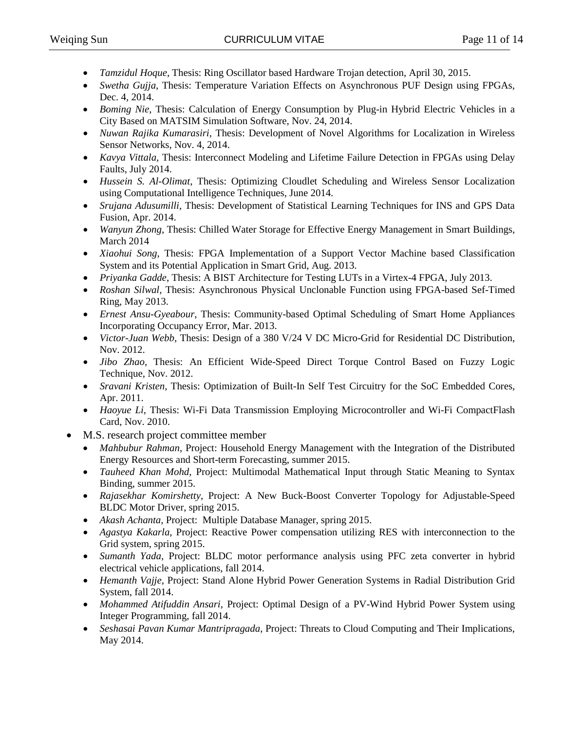- *Tamzidul Hoque*, Thesis: Ring Oscillator based Hardware Trojan detection, April 30, 2015.
- *Swetha Gujja*, Thesis: Temperature Variation Effects on Asynchronous PUF Design using FPGAs, Dec. 4, 2014.
- *Boming Nie*, Thesis: Calculation of Energy Consumption by Plug-in Hybrid Electric Vehicles in a City Based on MATSIM Simulation Software, Nov. 24, 2014.
- *Nuwan Rajika Kumarasiri*, Thesis: Development of Novel Algorithms for Localization in Wireless Sensor Networks, Nov. 4, 2014.
- *Kavya Vittala*, Thesis: Interconnect Modeling and Lifetime Failure Detection in FPGAs using Delay Faults, July 2014.
- *Hussein S. Al-Olimat*, Thesis: Optimizing Cloudlet Scheduling and Wireless Sensor Localization using Computational Intelligence Techniques, June 2014.
- *Srujana Adusumilli*, Thesis: Development of Statistical Learning Techniques for INS and GPS Data Fusion, Apr. 2014.
- *Wanyun Zhong*, Thesis: Chilled Water Storage for Effective Energy Management in Smart Buildings, March 2014
- *Xiaohui Song*, Thesis: FPGA Implementation of a Support Vector Machine based Classification System and its Potential Application in Smart Grid, Aug. 2013.
- *Priyanka Gadde*, Thesis: A BIST Architecture for Testing LUTs in a Virtex-4 FPGA, July 2013.
- *Roshan Silwal*, Thesis: Asynchronous Physical Unclonable Function using FPGA-based Sef-Timed Ring, May 2013.
- *Ernest Ansu-Gyeabour*, Thesis: Community-based Optimal Scheduling of Smart Home Appliances Incorporating Occupancy Error, Mar. 2013.
- *Victor-Juan Webb*, Thesis: Design of a 380 V/24 V DC Micro-Grid for Residential DC Distribution, Nov. 2012.
- *Jibo Zhao*, Thesis: An Efficient Wide-Speed Direct Torque Control Based on Fuzzy Logic Technique, Nov. 2012.
- *Sravani Kristen*, Thesis: Optimization of Built-In Self Test Circuitry for the SoC Embedded Cores, Apr. 2011.
- *Haoyue Li*, Thesis: Wi-Fi Data Transmission Employing Microcontroller and Wi-Fi CompactFlash Card, Nov. 2010.
- M.S. research project committee member
	- *Mahbubur Rahman*, Project: Household Energy Management with the Integration of the Distributed Energy Resources and Short-term Forecasting, summer 2015.
	- *Tauheed Khan Mohd*, Project: Multimodal Mathematical Input through Static Meaning to Syntax Binding, summer 2015.
	- *Rajasekhar Komirshetty*, Project: A New Buck-Boost Converter Topology for Adjustable-Speed BLDC Motor Driver, spring 2015.
	- *Akash Achanta*, Project: Multiple Database Manager, spring 2015.
	- *Agastya Kakarla*, Project: Reactive Power compensation utilizing RES with interconnection to the Grid system, spring 2015.
	- *Sumanth Yada*, Project: BLDC motor performance analysis using PFC zeta converter in hybrid electrical vehicle applications, fall 2014.
	- *Hemanth Vajje*, Project: Stand Alone Hybrid Power Generation Systems in Radial Distribution Grid System, fall 2014.
	- *Mohammed Atifuddin Ansari*, Project: Optimal Design of a PV-Wind Hybrid Power System using Integer Programming, fall 2014.
	- *Seshasai Pavan Kumar Mantripragada*, Project: Threats to Cloud Computing and Their Implications, May 2014.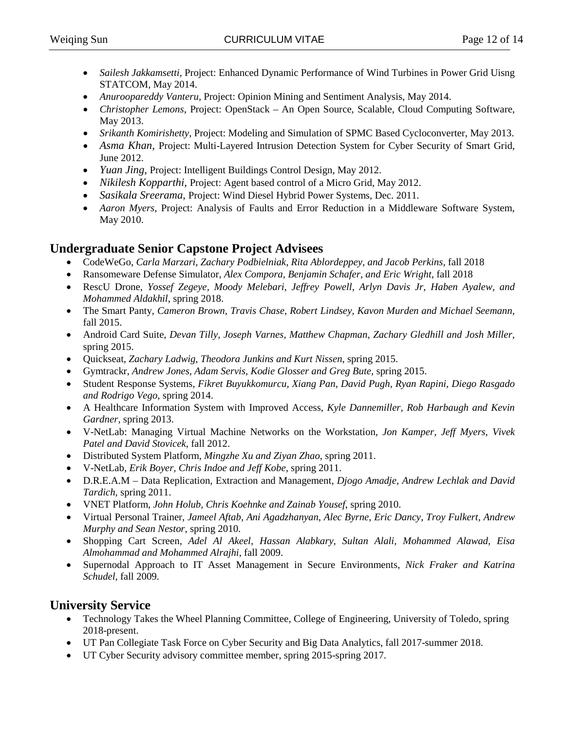- *Sailesh Jakkamsetti*, Project: Enhanced Dynamic Performance of Wind Turbines in Power Grid Uisng STATCOM, May 2014.
- *Anuroopareddy Vanteru*, Project: Opinion Mining and Sentiment Analysis, May 2014.
- *Christopher Lemons*, Project: OpenStack An Open Source, Scalable, Cloud Computing Software, May 2013.
- *Srikanth Komirishetty*, Project: Modeling and Simulation of SPMC Based Cycloconverter, May 2013.
- *Asma Khan*, Project: Multi-Layered Intrusion Detection System for Cyber Security of Smart Grid, June 2012.
- *Yuan Jing*, Project: Intelligent Buildings Control Design, May 2012.
- *Nikilesh Kopparthi*, Project: Agent based control of a Micro Grid, May 2012.
- *Sasikala Sreerama*, Project: Wind Diesel Hybrid Power Systems, Dec. 2011.
- *Aaron Myers*, Project: Analysis of Faults and Error Reduction in a Middleware Software System, May 2010.

# **Undergraduate Senior Capstone Project Advisees**

- CodeWeGo, *Carla Marzari, Zachary Podbielniak, Rita Ablordeppey, and Jacob Perkins,* fall 2018
- Ransomeware Defense Simulator, *Alex Compora, Benjamin Schafer, and Eric Wright*, fall 2018
- RescU Drone, *Yossef Zegeye, Moody Melebari, Jeffrey Powell, Arlyn Davis Jr, Haben Ayalew, and Mohammed Aldakhil*, spring 2018.
- The Smart Panty, *Cameron Brown, Travis Chase, Robert Lindsey, Kavon Murden and Michael Seemann*, fall 2015.
- Android Card Suite, *Devan Tilly, Joseph Varnes, Matthew Chapman, Zachary Gledhill and Josh Miller*, spring 2015.
- Quickseat, *Zachary Ladwig, Theodora Junkins and Kurt Nissen*, spring 2015.
- Gymtrackr, *Andrew Jones, Adam Servis, Kodie Glosser and Greg Bute*, spring 2015.
- Student Response Systems, *Fikret Buyukkomurcu, Xiang Pan, David Pugh, Ryan Rapini, Diego Rasgado and Rodrigo Vego*, spring 2014.
- A Healthcare Information System with Improved Access, *Kyle Dannemiller, Rob Harbaugh and Kevin Gardner*, spring 2013.
- V-NetLab: Managing Virtual Machine Networks on the Workstation, *Jon Kamper, Jeff Myers, Vivek Patel and David Stovicek*, fall 2012.
- Distributed System Platform, *Mingzhe Xu and Ziyan Zhao*, spring 2011.
- V-NetLab, *Erik Boyer, Chris Indoe and Jeff Kobe*, spring 2011.
- D.R.E.A.M Data Replication, Extraction and Management, *Djogo Amadje, Andrew Lechlak and David Tardich*, spring 2011.
- VNET Platform, *John Holub, Chris Koehnke and Zainab Yousef*, spring 2010.
- Virtual Personal Trainer, *Jameel Aftab, Ani Agadzhanyan, Alec Byrne, Eric Dancy, Troy Fulkert, Andrew Murphy and Sean Nestor*, spring 2010.
- Shopping Cart Screen, *Adel Al Akeel, Hassan Alabkary, Sultan Alali, Mohammed Alawad, Eisa Almohammad and Mohammed Alrajhi*, fall 2009.
- Supernodal Approach to IT Asset Management in Secure Environments, *Nick Fraker and Katrina Schudel*, fall 2009.

# **University Service**

- Technology Takes the Wheel Planning Committee, College of Engineering, University of Toledo, spring 2018-present.
- UT Pan Collegiate Task Force on Cyber Security and Big Data Analytics, fall 2017-summer 2018.
- UT Cyber Security advisory committee member, spring 2015-spring 2017.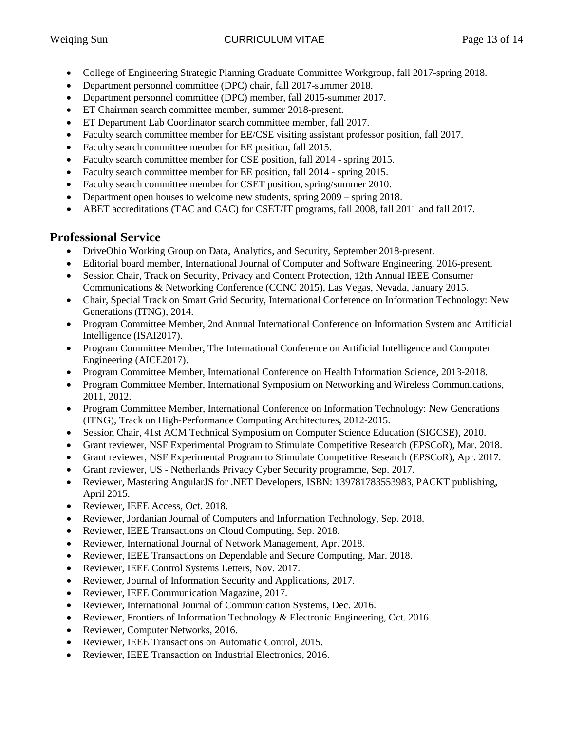- College of Engineering Strategic Planning Graduate Committee Workgroup, fall 2017-spring 2018.
- Department personnel committee (DPC) chair, fall 2017-summer 2018.
- Department personnel committee (DPC) member, fall 2015-summer 2017.
- ET Chairman search committee member, summer 2018-present.
- ET Department Lab Coordinator search committee member, fall 2017.
- Faculty search committee member for EE/CSE visiting assistant professor position, fall 2017.
- Faculty search committee member for EE position, fall 2015.
- Faculty search committee member for CSE position, fall 2014 spring 2015.
- Faculty search committee member for EE position, fall 2014 spring 2015.
- Faculty search committee member for CSET position, spring/summer 2010.
- Department open houses to welcome new students, spring 2009 spring 2018.
- ABET accreditations (TAC and CAC) for CSET/IT programs, fall 2008, fall 2011 and fall 2017.

# **Professional Service**

- DriveOhio Working Group on Data, Analytics, and Security, September 2018-present.
- Editorial board member, International Journal of Computer and Software Engineering, 2016-present.
- Session Chair, Track on Security, Privacy and Content Protection, 12th Annual IEEE Consumer Communications & Networking Conference (CCNC 2015), Las Vegas, Nevada, January 2015.
- Chair, Special Track on Smart Grid Security, International Conference on Information Technology: New Generations (ITNG), 2014.
- Program Committee Member, 2nd Annual International Conference on Information System and Artificial Intelligence (ISAI2017).
- Program Committee Member, The International Conference on Artificial Intelligence and Computer Engineering (AICE2017).
- Program Committee Member, International Conference on Health Information Science, 2013-2018.
- Program Committee Member, International Symposium on Networking and Wireless Communications, 2011, 2012.
- Program Committee Member, International Conference on Information Technology: New Generations (ITNG), Track on High-Performance Computing Architectures, 2012-2015.
- Session Chair, 41st ACM Technical Symposium on Computer Science Education (SIGCSE), 2010.
- Grant reviewer, NSF Experimental Program to Stimulate Competitive Research (EPSCoR), Mar. 2018.
- Grant reviewer, NSF Experimental Program to Stimulate Competitive Research (EPSCoR), Apr. 2017.
- Grant reviewer, US Netherlands Privacy Cyber Security programme, Sep. 2017.
- Reviewer, Mastering AngularJS for .NET Developers, ISBN: 139781783553983, PACKT publishing, April 2015.
- Reviewer, IEEE Access, Oct. 2018.
- Reviewer, Jordanian Journal of Computers and Information Technology, Sep. 2018.
- Reviewer, IEEE Transactions on Cloud Computing, Sep. 2018.
- Reviewer, International Journal of Network Management, Apr. 2018.
- Reviewer, IEEE Transactions on Dependable and Secure Computing, Mar. 2018.
- Reviewer, IEEE Control Systems Letters, Nov. 2017.
- Reviewer, Journal of Information Security and Applications, 2017.
- Reviewer, IEEE Communication Magazine, 2017.
- Reviewer, International Journal of Communication Systems, Dec. 2016.
- Reviewer, Frontiers of Information Technology & Electronic Engineering, Oct. 2016.
- Reviewer, Computer Networks, 2016.
- Reviewer, IEEE Transactions on Automatic Control, 2015.
- Reviewer, IEEE Transaction on Industrial Electronics, 2016.